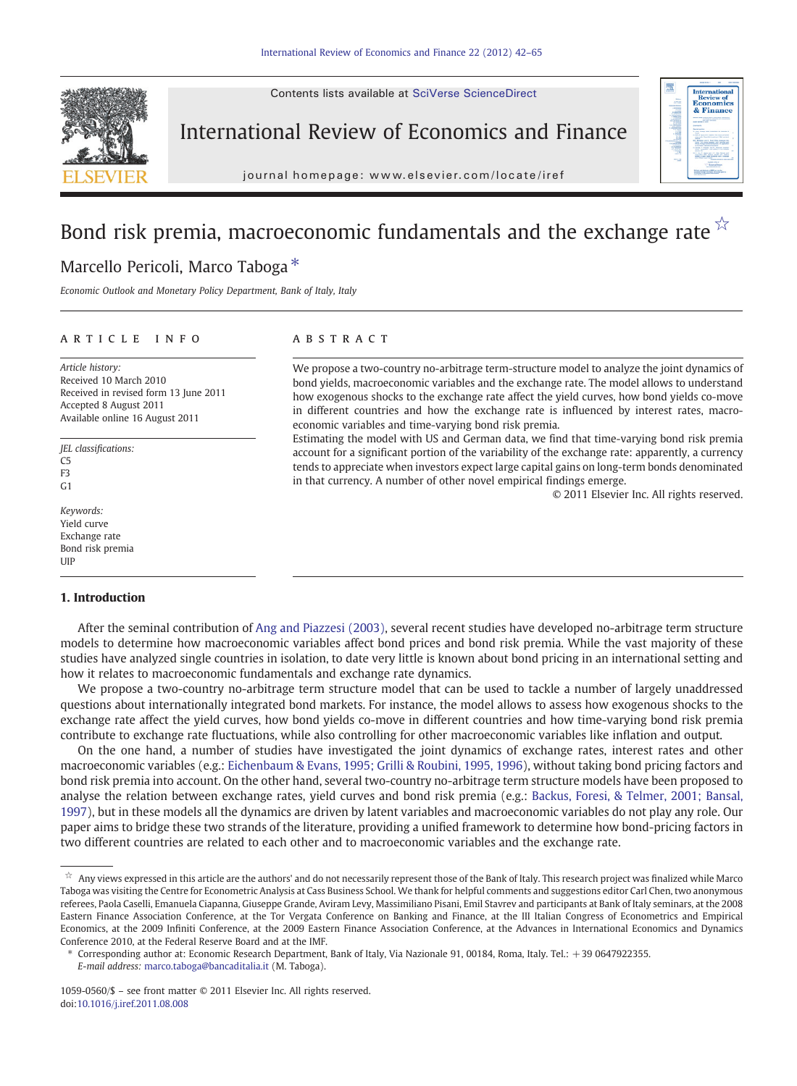Contents lists available at SciVerse ScienceDirect



## International Review of Economics and Finance

j o u r n a l  $\sim$ 



# Bond risk premia, macroeconomic fundamentals and the exchange rate  $\overrightarrow{x}$

## Marcello Pericoli, Marco Taboga<sup>\*</sup>

Economic Outlook and Monetary Policy Department, Bank of Italy, Italy

### article info abstract

Article history: Received 10 March 2010 Received in revised form 13 June 2011 Accepted 8 August 2011 Available online 16 August 2011

JEL classifications:  $\overline{C}$ F3  $C<sub>1</sub>$ 

Keywords: Yield curve Exchange rate Bond risk premia UIP

### 1. Introduction

We propose a two-country no-arbitrage term-structure model to analyze the joint dynamics of bond yields, macroeconomic variables and the exchange rate. The model allows to understand how exogenous shocks to the exchange rate affect the yield curves, how bond yields co-move in different countries and how the exchange rate is influenced by interest rates, macroeconomic variables and time-varying bond risk premia.

Estimating the model with US and German data, we find that time-varying bond risk premia account for a significant portion of the variability of the exchange rate: apparently, a currency tends to appreciate when investors expect large capital gains on long-term bonds denominated in that currency. A number of other novel empirical findings emerge.

© 2011 Elsevier Inc. All rights reserved.

After the seminal contribution of [Ang and Piazzesi \(2003\),](#page--1-0) several recent studies have developed no-arbitrage term structure models to determine how macroeconomic variables affect bond prices and bond risk premia. While the vast majority of these studies have analyzed single countries in isolation, to date very little is known about bond pricing in an international setting and how it relates to macroeconomic fundamentals and exchange rate dynamics.

We propose a two-country no-arbitrage term structure model that can be used to tackle a number of largely unaddressed questions about internationally integrated bond markets. For instance, the model allows to assess how exogenous shocks to the exchange rate affect the yield curves, how bond yields co-move in different countries and how time-varying bond risk premia contribute to exchange rate fluctuations, while also controlling for other macroeconomic variables like inflation and output.

On the one hand, a number of studies have investigated the joint dynamics of exchange rates, interest rates and other macroeconomic variables (e.g.: [Eichenbaum & Evans, 1995; Grilli & Roubini, 1995, 1996\)](#page--1-0), without taking bond pricing factors and bond risk premia into account. On the other hand, several two-country no-arbitrage term structure models have been proposed to analyse the relation between exchange rates, yield curves and bond risk premia (e.g.: [Backus, Foresi, & Telmer, 2001; Bansal,](#page--1-0) [1997](#page--1-0)), but in these models all the dynamics are driven by latent variables and macroeconomic variables do not play any role. Our paper aims to bridge these two strands of the literature, providing a unified framework to determine how bond-pricing factors in two different countries are related to each other and to macroeconomic variables and the exchange rate.

Corresponding author at: Economic Research Department, Bank of Italy, Via Nazionale 91, 00184, Roma, Italy. Tel.: +39 0647922355.

 $\dot{x}$  Any views expressed in this article are the authors' and do not necessarily represent those of the Bank of Italy. This research project was finalized while Marco Taboga was visiting the Centre for Econometric Analysis at Cass Business School. We thank for helpful comments and suggestions editor Carl Chen, two anonymous referees, Paola Caselli, Emanuela Ciapanna, Giuseppe Grande, Aviram Levy, Massimiliano Pisani, Emil Stavrev and participants at Bank of Italy seminars, at the 2008 Eastern Finance Association Conference, at the Tor Vergata Conference on Banking and Finance, at the III Italian Congress of Econometrics and Empirical Economics, at the 2009 Infiniti Conference, at the 2009 Eastern Finance Association Conference, at the Advances in International Economics and Dynamics Conference 2010, at the Federal Reserve Board and at the IMF.

E-mail address: [marco.taboga@bancaditalia.it](mailto:marco.taboga@bancaditalia.it) (M. Taboga).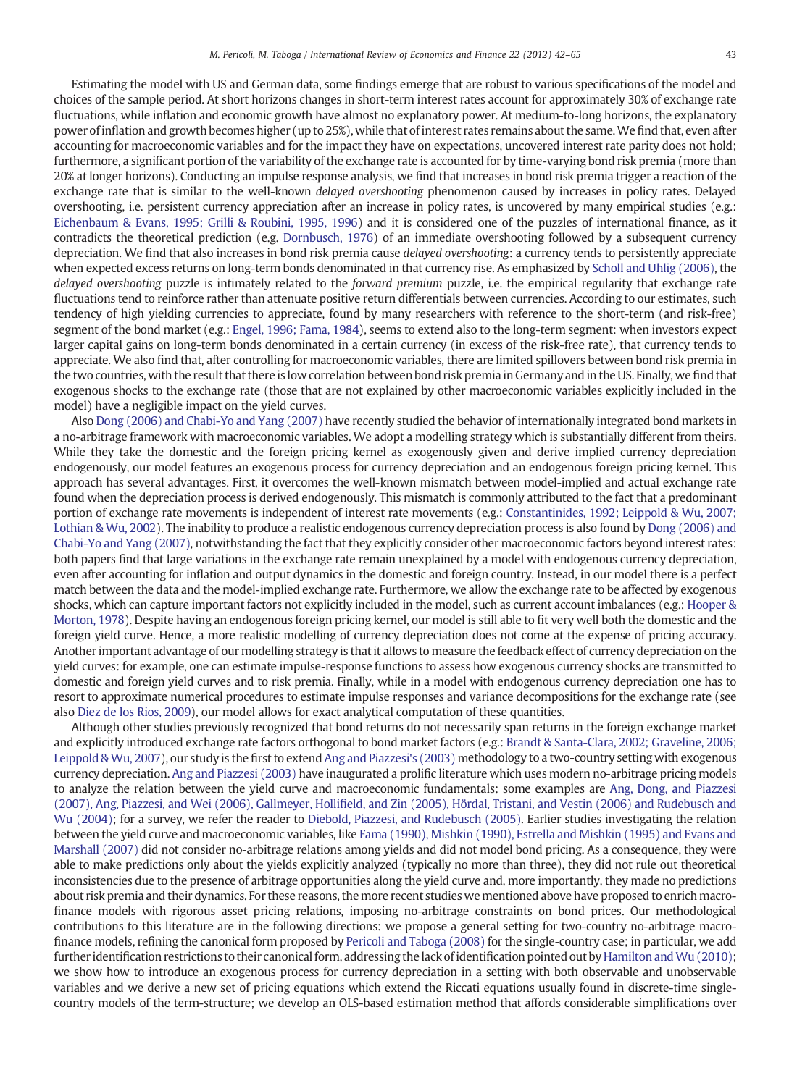Estimating the model with US and German data, some findings emerge that are robust to various specifications of the model and choices of the sample period. At short horizons changes in short-term interest rates account for approximately 30% of exchange rate fluctuations, while inflation and economic growth have almost no explanatory power. At medium-to-long horizons, the explanatory power of inflation and growth becomes higher (up to 25%), while that of interest rates remains about the same.We find that, even after accounting for macroeconomic variables and for the impact they have on expectations, uncovered interest rate parity does not hold; furthermore, a significant portion of the variability of the exchange rate is accounted for by time-varying bond risk premia (more than 20% at longer horizons). Conducting an impulse response analysis, we find that increases in bond risk premia trigger a reaction of the exchange rate that is similar to the well-known *delayed overshooting* phenomenon caused by increases in policy rates. Delayed overshooting, i.e. persistent currency appreciation after an increase in policy rates, is uncovered by many empirical studies (e.g.: [Eichenbaum & Evans, 1995; Grilli & Roubini, 1995, 1996](#page--1-0)) and it is considered one of the puzzles of international finance, as it contradicts the theoretical prediction (e.g. [Dornbusch, 1976\)](#page--1-0) of an immediate overshooting followed by a subsequent currency depreciation. We find that also increases in bond risk premia cause delayed overshooting: a currency tends to persistently appreciate when expected excess returns on long-term bonds denominated in that currency rise. As emphasized by [Scholl and Uhlig \(2006\),](#page--1-0) the delayed overshooting puzzle is intimately related to the forward premium puzzle, i.e. the empirical regularity that exchange rate fluctuations tend to reinforce rather than attenuate positive return differentials between currencies. According to our estimates, such tendency of high yielding currencies to appreciate, found by many researchers with reference to the short-term (and risk-free) segment of the bond market (e.g.: [Engel, 1996; Fama, 1984](#page--1-0)), seems to extend also to the long-term segment: when investors expect larger capital gains on long-term bonds denominated in a certain currency (in excess of the risk-free rate), that currency tends to appreciate. We also find that, after controlling for macroeconomic variables, there are limited spillovers between bond risk premia in the two countries, with the result that there is low correlation between bond risk premia in Germany and in the US. Finally, we find that exogenous shocks to the exchange rate (those that are not explained by other macroeconomic variables explicitly included in the model) have a negligible impact on the yield curves.

Also [Dong \(2006\) and Chabi-Yo and Yang \(2007\)](#page--1-0) have recently studied the behavior of internationally integrated bond markets in a no-arbitrage framework with macroeconomic variables. We adopt a modelling strategy which is substantially different from theirs. While they take the domestic and the foreign pricing kernel as exogenously given and derive implied currency depreciation endogenously, our model features an exogenous process for currency depreciation and an endogenous foreign pricing kernel. This approach has several advantages. First, it overcomes the well-known mismatch between model-implied and actual exchange rate found when the depreciation process is derived endogenously. This mismatch is commonly attributed to the fact that a predominant portion of exchange rate movements is independent of interest rate movements (e.g.: [Constantinides, 1992; Leippold & Wu, 2007;](#page--1-0) [Lothian & Wu, 2002\)](#page--1-0). The inability to produce a realistic endogenous currency depreciation process is also found by [Dong \(2006\) and](#page--1-0) [Chabi-Yo and Yang \(2007\),](#page--1-0) notwithstanding the fact that they explicitly consider other macroeconomic factors beyond interest rates: both papers find that large variations in the exchange rate remain unexplained by a model with endogenous currency depreciation, even after accounting for inflation and output dynamics in the domestic and foreign country. Instead, in our model there is a perfect match between the data and the model-implied exchange rate. Furthermore, we allow the exchange rate to be affected by exogenous shocks, which can capture important factors not explicitly included in the model, such as current account imbalances (e.g.: [Hooper &](#page--1-0) [Morton, 1978\)](#page--1-0). Despite having an endogenous foreign pricing kernel, our model is still able to fit very well both the domestic and the foreign yield curve. Hence, a more realistic modelling of currency depreciation does not come at the expense of pricing accuracy. Another important advantage of our modelling strategy is that it allows to measure the feedback effect of currency depreciation on the yield curves: for example, one can estimate impulse-response functions to assess how exogenous currency shocks are transmitted to domestic and foreign yield curves and to risk premia. Finally, while in a model with endogenous currency depreciation one has to resort to approximate numerical procedures to estimate impulse responses and variance decompositions for the exchange rate (see also [Diez de los Rios, 2009](#page--1-0)), our model allows for exact analytical computation of these quantities.

Although other studies previously recognized that bond returns do not necessarily span returns in the foreign exchange market and explicitly introduced exchange rate factors orthogonal to bond market factors (e.g.: [Brandt & Santa-Clara, 2002; Graveline, 2006;](#page--1-0) [Leippold & Wu, 2007\)](#page--1-0), our study is the first to extend [Ang and Piazzesi's \(2003\)](#page--1-0) methodology to a two-country setting with exogenous currency depreciation. [Ang and Piazzesi \(2003\)](#page--1-0) have inaugurated a prolific literature which uses modern no-arbitrage pricing models to analyze the relation between the yield curve and macroeconomic fundamentals: some examples are [Ang, Dong, and Piazzesi](#page--1-0) (2007), Ang, Piazzesi, and Wei (2006), Gallmeyer, Hollifi[eld, and Zin \(2005\), Hördal, Tristani, and Vestin \(2006\) and Rudebusch and](#page--1-0) [Wu \(2004\);](#page--1-0) for a survey, we refer the reader to [Diebold, Piazzesi, and Rudebusch \(2005\).](#page--1-0) Earlier studies investigating the relation between the yield curve and macroeconomic variables, like [Fama \(1990\), Mishkin \(1990\), Estrella and Mishkin \(1995\) and Evans and](#page--1-0) [Marshall \(2007\)](#page--1-0) did not consider no-arbitrage relations among yields and did not model bond pricing. As a consequence, they were able to make predictions only about the yields explicitly analyzed (typically no more than three), they did not rule out theoretical inconsistencies due to the presence of arbitrage opportunities along the yield curve and, more importantly, they made no predictions about risk premia and their dynamics. For these reasons, the more recent studies we mentioned above have proposed to enrich macrofinance models with rigorous asset pricing relations, imposing no-arbitrage constraints on bond prices. Our methodological contributions to this literature are in the following directions: we propose a general setting for two-country no-arbitrage macrofinance models, refining the canonical form proposed by [Pericoli and Taboga \(2008\)](#page--1-0) for the single-country case; in particular, we add further identification restrictions to their canonical form, addressing the lack of identification pointed out by Hamilton and Wu (2010); we show how to introduce an exogenous process for currency depreciation in a setting with both observable and unobservable variables and we derive a new set of pricing equations which extend the Riccati equations usually found in discrete-time singlecountry models of the term-structure; we develop an OLS-based estimation method that affords considerable simplifications over